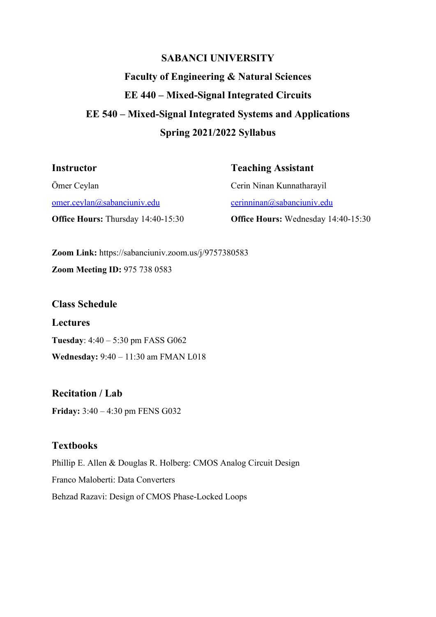## **SABANCI UNIVERSITY**

# **Faculty of Engineering & Natural Sciences EE 440 – Mixed-Signal Integrated Circuits EE 540 – Mixed-Signal Integrated Systems and Applications Spring 2021/2022 Syllabus**

#### **Instructor**

#### **Teaching Assistant**

Ömer Ceylan [omer.ceylan@sabanciuniv.edu](mailto:omer.ceylan@sabanciuniv.edu) **Office Hours:** Thursday 14:40-15:30 Cerin Ninan Kunnatharayil [cerinninan@sabanciuniv.edu](mailto:cerinninan@sabanciuniv.edu) **Office Hours:** Wednesday 14:40-15:30

**Zoom Link:** https://sabanciuniv.zoom.us/j/9757380583 **Zoom Meeting ID:** 975 738 0583

**Class Schedule Lectures Tuesday**: 4:40 – 5:30 pm FASS G062 **Wednesday:** 9:40 – 11:30 am FMAN L018

**Recitation / Lab Friday:** 3:40 – 4:30 pm FENS G032

## **Textbooks**

Phillip E. Allen & Douglas R. Holberg: CMOS Analog Circuit Design Franco Maloberti: Data Converters Behzad Razavi: Design of CMOS Phase-Locked Loops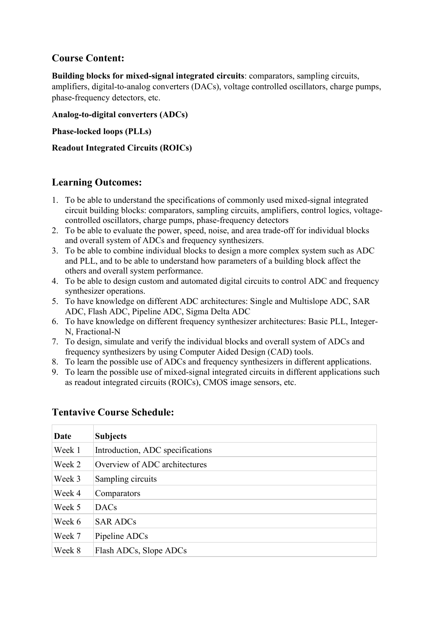## **Course Content:**

**Building blocks for mixed-signal integrated circuits**: comparators, sampling circuits, amplifiers, digital-to-analog converters (DACs), voltage controlled oscillators, charge pumps, phase-frequency detectors, etc.

#### **Analog-to-digital converters (ADCs)**

**Phase-locked loops (PLLs)**

#### **Readout Integrated Circuits (ROICs)**

## **Learning Outcomes:**

- 1. To be able to understand the specifications of commonly used mixed-signal integrated circuit building blocks: comparators, sampling circuits, amplifiers, control logics, voltagecontrolled oscillators, charge pumps, phase-frequency detectors
- 2. To be able to evaluate the power, speed, noise, and area trade-off for individual blocks and overall system of ADCs and frequency synthesizers.
- 3. To be able to combine individual blocks to design a more complex system such as ADC and PLL, and to be able to understand how parameters of a building block affect the others and overall system performance.
- 4. To be able to design custom and automated digital circuits to control ADC and frequency synthesizer operations.
- 5. To have knowledge on different ADC architectures: Single and Multislope ADC, SAR ADC, Flash ADC, Pipeline ADC, Sigma Delta ADC
- 6. To have knowledge on different frequency synthesizer architectures: Basic PLL, Integer-N, Fractional-N
- 7. To design, simulate and verify the individual blocks and overall system of ADCs and frequency synthesizers by using Computer Aided Design (CAD) tools.
- 8. To learn the possible use of ADCs and frequency synthesizers in different applications.
- 9. To learn the possible use of mixed-signal integrated circuits in different applications such as readout integrated circuits (ROICs), CMOS image sensors, etc.

| Date   | <b>Subjects</b>                  |
|--------|----------------------------------|
| Week 1 | Introduction, ADC specifications |
| Week 2 | Overview of ADC architectures    |
| Week 3 | Sampling circuits                |
| Week 4 | Comparators                      |
| Week 5 | <b>DACs</b>                      |
| Week 6 | <b>SAR ADCs</b>                  |
| Week 7 | Pipeline ADCs                    |
| Week 8 | Flash ADCs, Slope ADCs           |

## **Tentavive Course Schedule:**